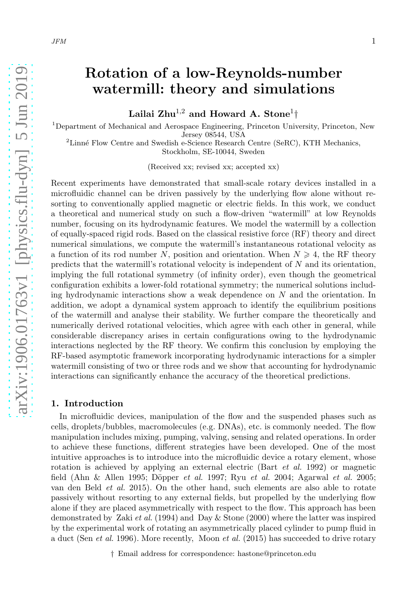# Rotation of a low-Reynolds-number watermill: theory and simulations

Lailai Zhu $^{1,2}$  and Howard A. Stone $^1\dagger$ 

 $1$ Department of Mechanical and Aerospace Engineering, Princeton University, Princeton, New Jersey 08544, USA

 $2$ Linné Flow Centre and Swedish e-Science Research Centre (SeRC), KTH Mechanics,

Stockholm, SE-10044, Sweden

(Received xx; revised xx; accepted xx)

Recent experiments have demonstrated that small-scale rotary devices installed in a microfluidic channel can be driven passively by the underlying flow alone without resorting to conventionally applied magnetic or electric fields. In this work, we conduct a theoretical and numerical study on such a flow-driven "watermill" at low Reynolds number, focusing on its hydrodynamic features. We model the watermill by a collection of equally-spaced rigid rods. Based on the classical resistive force (RF) theory and direct numerical simulations, we compute the watermill's instantaneous rotational velocity as a function of its rod number N, position and orientation. When  $N \geq 4$ , the RF theory predicts that the watermill's rotational velocity is independent of N and its orientation, implying the full rotational symmetry (of infinity order), even though the geometrical configuration exhibits a lower-fold rotational symmetry; the numerical solutions including hydrodynamic interactions show a weak dependence on  $N$  and the orientation. In addition, we adopt a dynamical system approach to identify the equilibrium positions of the watermill and analyse their stability. We further compare the theoretically and numerically derived rotational velocities, which agree with each other in general, while considerable discrepancy arises in certain configurations owing to the hydrodynamic interactions neglected by the RF theory. We confirm this conclusion by employing the RF-based asymptotic framework incorporating hydrodynamic interactions for a simpler watermill consisting of two or three rods and we show that accounting for hydrodynamic interactions can significantly enhance the accuracy of the theoretical predictions.

# 1. Introduction

In microfluidic devices, manipulation of the flow and the suspended phases such as cells, droplets/bubbles, macromolecules (e.g. DNAs), etc. is commonly needed. The flow manipulation includes mixing, pumping, valving, sensing and related operations. In order to achieve these functions, different strategies have been developed. One of the most intuitive approaches is to introduce into the microfluidic device a rotary element, whose rotation is achieved by applying an external electric (Bart *et al.* 1992) or magnetic field (Ahn & Allen 1995; Döpper *et al.* 1997; Ryu *et al.* 2004; Agarwal *et al.* 2005; van den Beld *et al.* 2015). On the other hand, such elements are also able to rotate passively without resorting to any external fields, but propelled by the underlying flow alone if they are placed asymmetrically with respect to the flow. This approach has been demonstrated by Zaki *et al.* (1994) and Day & Stone (2000) where the latter was inspired by the experimental work of rotating an asymmetrically placed cylinder to pump fluid in a duct (Sen *et al.* 1996). More recently, Moon *et al.* (2015) has succeeded to drive rotary

† Email address for correspondence: hastone@princeton.edu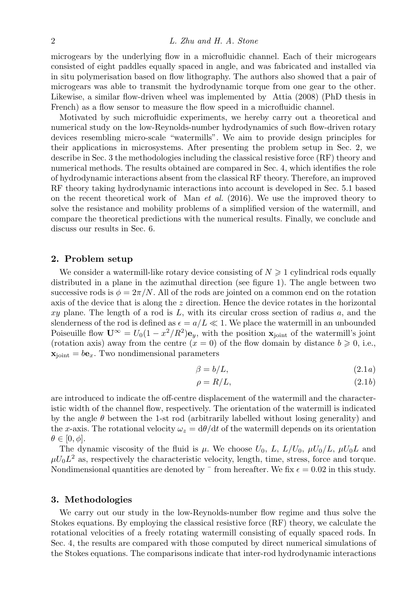microgears by the underlying flow in a microfluidic channel. Each of their microgears consisted of eight paddles equally spaced in angle, and was fabricated and installed via in situ polymerisation based on flow lithography. The authors also showed that a pair of microgears was able to transmit the hydrodynamic torque from one gear to the other. Likewise, a similar flow-driven wheel was implemented by Attia (2008) (PhD thesis in French) as a flow sensor to measure the flow speed in a microfluidic channel.

Motivated by such microfluidic experiments, we hereby carry out a theoretical and numerical study on the low-Reynolds-number hydrodynamics of such flow-driven rotary devices resembling micro-scale "watermills". We aim to provide design principles for their applications in microsystems. After presenting the problem setup in Sec. 2, we describe in Sec. 3 the methodologies including the classical resistive force (RF) theory and numerical methods. The results obtained are compared in Sec. 4, which identifies the role of hydrodynamic interactions absent from the classical RF theory. Therefore, an improved RF theory taking hydrodynamic interactions into account is developed in Sec. 5.1 based on the recent theoretical work of Man *et al.* (2016). We use the improved theory to solve the resistance and mobility problems of a simplified version of the watermill, and compare the theoretical predictions with the numerical results. Finally, we conclude and discuss our results in Sec. 6.

## 2. Problem setup

We consider a watermill-like rotary device consisting of  $N \geq 1$  cylindrical rods equally distributed in a plane in the azimuthal direction (see figure 1). The angle between two successive rods is  $\phi = 2\pi/N$ . All of the rods are jointed on a common end on the rotation axis of the device that is along the  $z$  direction. Hence the device rotates in the horizontal  $xy$  plane. The length of a rod is  $L$ , with its circular cross section of radius  $a$ , and the slenderness of the rod is defined as  $\epsilon = a/L \ll 1$ . We place the watermill in an unbounded Poiseuille flow  $\mathbf{U}^{\infty} = U_0(1 - x^2/R^2)\mathbf{e}_y$ , with the position  $\mathbf{x}_{joint}$  of the watermill's joint (rotation axis) away from the centre  $(x = 0)$  of the flow domain by distance  $b \ge 0$ , i.e.,  $\mathbf{x}_{\text{joint}} = b\mathbf{e}_x$ . Two nondimensional parameters

$$
\beta = b/L, \tag{2.1a}
$$

$$
\rho = R/L,\tag{2.1b}
$$

are introduced to indicate the off-centre displacement of the watermill and the characteristic width of the channel flow, respectively. The orientation of the watermill is indicated by the angle  $\theta$  between the 1-st rod (arbitrarily labelled without losing generality) and the x-axis. The rotational velocity  $\omega_z = d\theta/dt$  of the watermill depends on its orientation  $\theta \in [0, \phi]$ .

The dynamic viscosity of the fluid is  $\mu$ . We choose  $U_0$ , L,  $L/U_0$ ,  $\mu U_0/L$ ,  $\mu U_0L$  and  $\mu U_0 L^2$  as, respectively the characteristic velocity, length, time, stress, force and torque. Nondimensional quantities are denoted by  $\bar{ }$  from hereafter. We fix  $\epsilon = 0.02$  in this study.

# 3. Methodologies

We carry out our study in the low-Reynolds-number flow regime and thus solve the Stokes equations. By employing the classical resistive force (RF) theory, we calculate the rotational velocities of a freely rotating watermill consisting of equally spaced rods. In Sec. 4, the results are compared with those computed by direct numerical simulations of the Stokes equations. The comparisons indicate that inter-rod hydrodynamic interactions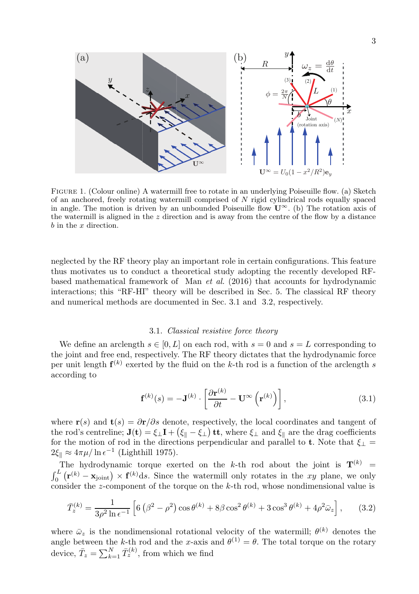

FIGURE 1. (Colour online) A watermill free to rotate in an underlying Poiseuille flow. (a) Sketch of an anchored, freely rotating watermill comprised of  $N$  rigid cylindrical rods equally spaced in angle. The motion is driven by an unbounded Poiseuille flow  $\mathbf{U}^{\infty}$ . (b) The rotation axis of the watermill is aligned in the  $z$  direction and is away from the centre of the flow by a distance b in the x direction.

neglected by the RF theory play an important role in certain configurations. This feature thus motivates us to conduct a theoretical study adopting the recently developed RFbased mathematical framework of Man *et al.* (2016) that accounts for hydrodynamic interactions; this "RF-HI" theory will be described in Sec. 5. The classical RF theory and numerical methods are documented in Sec. 3.1 and 3.2, respectively.

## 3.1. *Classical resistive force theory*

We define an arclength  $s \in [0, L]$  on each rod, with  $s = 0$  and  $s = L$  corresponding to the joint and free end, respectively. The RF theory dictates that the hydrodynamic force per unit length  $f^{(k)}$  exerted by the fluid on the k-th rod is a function of the arclength s according to

$$
\mathbf{f}^{(k)}(s) = -\mathbf{J}^{(k)} \cdot \left[ \frac{\partial \mathbf{r}^{(k)}}{\partial t} - \mathbf{U}^{\infty} \left( \mathbf{r}^{(k)} \right) \right],
$$
 (3.1)

where  $\mathbf{r}(s)$  and  $\mathbf{t}(s) = \partial \mathbf{r}/\partial s$  denote, respectively, the local coordinates and tangent of the rod's centreline;  $J(t) = \xi_{\perp}I + (\xi_{\parallel} - \xi_{\perp})$  tt, where  $\xi_{\perp}$  and  $\xi_{\parallel}$  are the drag coefficients for the motion of rod in the directions perpendicular and parallel to **t**. Note that  $\xi_{\perp}$  =  $2\xi_{\parallel} \approx 4\pi\mu/\ln\epsilon^{-1}$  (Lighthill 1975).

The hydrodynamic torque exerted on the k-th rod about the joint is  $\mathbf{T}^{(k)}$  =  $\int_0^L (\mathbf{r}^{(k)} - \mathbf{x}_{\text{joint}}) \times \mathbf{f}^{(k)} ds$ . Since the watermill only rotates in the xy plane, we only consider the z-component of the torque on the k-th rod, whose nondimensional value is

$$
\bar{T}_z^{(k)} = \frac{1}{3\rho^2 \ln \epsilon^{-1}} \left[ 6 \left( \beta^2 - \rho^2 \right) \cos \theta^{(k)} + 8 \beta \cos^2 \theta^{(k)} + 3 \cos^3 \theta^{(k)} + 4\rho^2 \bar{\omega}_z \right],\tag{3.2}
$$

where  $\bar{\omega}_z$  is the nondimensional rotational velocity of the watermill;  $\theta^{(k)}$  denotes the angle between the k-th rod and the x-axis and  $\theta^{(1)} = \theta$ . The total torque on the rotary device,  $\bar{T}_z = \sum_{k=1}^{N} \bar{T}_z^{(k)}$ , from which we find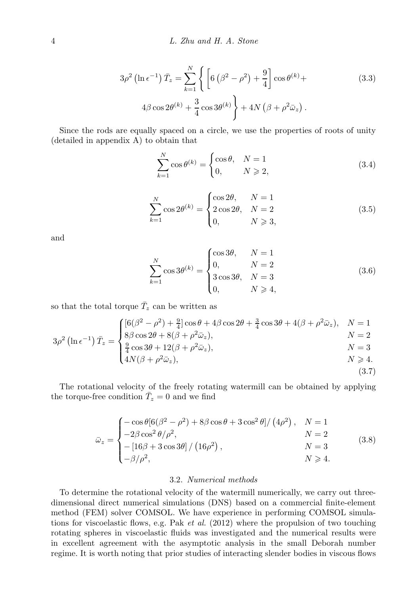$$
3\rho^2 \left(\ln \epsilon^{-1}\right) \bar{T}_z = \sum_{k=1}^N \left\{ \left[ 6\left(\beta^2 - \rho^2\right) + \frac{9}{4} \right] \cos \theta^{(k)} + 4\beta \cos 2\theta^{(k)} + \frac{3}{4} \cos 3\theta^{(k)} \right\} + 4N\left(\beta + \rho^2 \bar{\omega}_z\right).
$$
 (3.3)

Since the rods are equally spaced on a circle, we use the properties of roots of unity (detailed in appendix A) to obtain that

$$
\sum_{k=1}^{N} \cos \theta^{(k)} = \begin{cases} \cos \theta, & N = 1 \\ 0, & N \ge 2, \end{cases}
$$
 (3.4)

$$
\sum_{k=1}^{N} \cos 2\theta^{(k)} = \begin{cases} \cos 2\theta, & N = 1\\ 2 \cos 2\theta, & N = 2\\ 0, & N \geqslant 3, \end{cases}
$$
(3.5)

and

$$
\sum_{k=1}^{N} \cos 3\theta^{(k)} = \begin{cases} \cos 3\theta, & N = 1\\ 0, & N = 2\\ 3\cos 3\theta, & N = 3\\ 0, & N \ge 4, \end{cases}
$$
(3.6)

so that the total torque  $\bar{T}_z$  can be written as

$$
3\rho^{2}\left(\ln \epsilon^{-1}\right)\bar{T}_{z} = \begin{cases} \left[6(\beta^{2}-\rho^{2})+\frac{9}{4}\right]\cos\theta+4\beta\cos2\theta+\frac{3}{4}\cos3\theta+4(\beta+\rho^{2}\bar{\omega}_{z}), & N=1\\ 8\beta\cos2\theta+8(\beta+\rho^{2}\bar{\omega}_{z}), & N=2\\ \frac{9}{4}\cos3\theta+12(\beta+\rho^{2}\bar{\omega}_{z}), & N=3\\ 4N(\beta+\rho^{2}\bar{\omega}_{z}), & N\geq 4. \end{cases}
$$
(3.7)

The rotational velocity of the freely rotating watermill can be obtained by applying the torque-free condition  $\bar{T}_z = 0$  and we find

$$
\bar{\omega}_z = \begin{cases}\n-\cos\theta[6(\beta^2 - \rho^2) + 8\beta\cos\theta + 3\cos^2\theta]/(4\rho^2), & N = 1 \\
-2\beta\cos^2\theta/\rho^2, & N = 2 \\
-[16\beta + 3\cos3\theta]/(16\rho^2), & N = 3 \\
-\beta/\rho^2, & N \ge 4.\n\end{cases}
$$
\n(3.8)

# 3.2. *Numerical methods*

To determine the rotational velocity of the watermill numerically, we carry out threedimensional direct numerical simulations (DNS) based on a commercial finite-element method (FEM) solver COMSOL. We have experience in performing COMSOL simulations for viscoelastic flows, e.g. Pak *et al.* (2012) where the propulsion of two touching rotating spheres in viscoelastic fluids was investigated and the numerical results were in excellent agreement with the asymptotic analysis in the small Deborah number regime. It is worth noting that prior studies of interacting slender bodies in viscous flows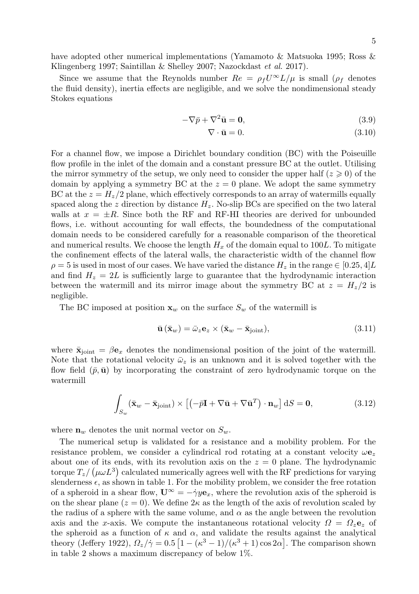have adopted other numerical implementations (Yamamoto & Matsuoka 1995; Ross & Klingenberg 1997; Saintillan & Shelley 2007; Nazockdast *et al.* 2017).

Since we assume that the Reynolds number  $Re = \rho_f U^{\infty} L/\mu$  is small  $(\rho_f$  denotes the fluid density), inertia effects are negligible, and we solve the nondimensional steady Stokes equations

$$
-\nabla \bar{p} + \nabla^2 \bar{\mathbf{u}} = \mathbf{0},\tag{3.9}
$$

$$
\nabla \cdot \bar{\mathbf{u}} = 0. \tag{3.10}
$$

For a channel flow, we impose a Dirichlet boundary condition (BC) with the Poiseuille flow profile in the inlet of the domain and a constant pressure BC at the outlet. Utilising the mirror symmetry of the setup, we only need to consider the upper half  $(z \geq 0)$  of the domain by applying a symmetry BC at the  $z = 0$  plane. We adopt the same symmetry BC at the  $z = H<sub>z</sub>/2$  plane, which effectively corresponds to an array of watermills equally spaced along the z direction by distance  $H_z$ . No-slip BCs are specified on the two lateral walls at  $x = \pm R$ . Since both the RF and RF-HI theories are derived for unbounded flows, i.e. without accounting for wall effects, the boundedness of the computational domain needs to be considered carefully for a reasonable comparison of the theoretical and numerical results. We choose the length  $H<sub>x</sub>$  of the domain equal to 100L. To mitigate the confinement effects of the lateral walls, the characteristic width of the channel flow  $\rho = 5$  is used in most of our cases. We have varied the distance  $H_z$  in the range  $\in [0.25, 4]$ L and find  $H_z = 2L$  is sufficiently large to guarantee that the hydrodynamic interaction between the watermill and its mirror image about the symmetry BC at  $z = H_z/2$  is negligible.

The BC imposed at position  $\mathbf{x}_w$  on the surface  $S_w$  of the watermill is

$$
\bar{\mathbf{u}}\left(\bar{\mathbf{x}}_w\right) = \bar{\omega}_z \mathbf{e}_z \times (\bar{\mathbf{x}}_w - \bar{\mathbf{x}}_{\text{joint}}),\tag{3.11}
$$

where  $\bar{\mathbf{x}}_{joint} = \beta \mathbf{e}_x$  denotes the nondimensional position of the joint of the watermill. Note that the rotational velocity  $\bar{\omega}_z$  is an unknown and it is solved together with the flow field  $(\bar{p}, \bar{u})$  by incorporating the constraint of zero hydrodynamic torque on the watermill

$$
\int_{S_w} (\bar{\mathbf{x}}_w - \bar{\mathbf{x}}_{\text{joint}}) \times [(-\bar{p}\mathbf{I} + \nabla \bar{\mathbf{u}} + \nabla \bar{\mathbf{u}}^T) \cdot \mathbf{n}_w] dS = \mathbf{0},
$$
\n(3.12)

where  $\mathbf{n}_w$  denotes the unit normal vector on  $S_w$ .

The numerical setup is validated for a resistance and a mobility problem. For the resistance problem, we consider a cylindrical rod rotating at a constant velocity  $\omega e_z$ about one of its ends, with its revolution axis on the  $z = 0$  plane. The hydrodynamic torque  $T_z/\left(\mu\omega L^3\right)$  calculated numerically agrees well with the RF predictions for varying slenderness  $\epsilon$ , as shown in table 1. For the mobility problem, we consider the free rotation of a spheroid in a shear flow,  $\mathbf{U}^{\infty} = -\dot{\gamma}y\mathbf{e}_x$ , where the revolution axis of the spheroid is on the shear plane ( $z = 0$ ). We define  $2\kappa$  as the length of the axis of revolution scaled by the radius of a sphere with the same volume, and  $\alpha$  as the angle between the revolution axis and the x-axis. We compute the instantaneous rotational velocity  $\Omega = \Omega_z \mathbf{e}_z$  of the spheroid as a function of  $\kappa$  and  $\alpha$ , and validate the results against the analytical theory (Jeffery 1922),  $\Omega_z/\dot{\gamma} = 0.5 \left[1 - (\kappa^3 - 1)/(\kappa^3 + 1) \cos 2\alpha\right]$ . The comparison shown in table 2 shows a maximum discrepancy of below 1%.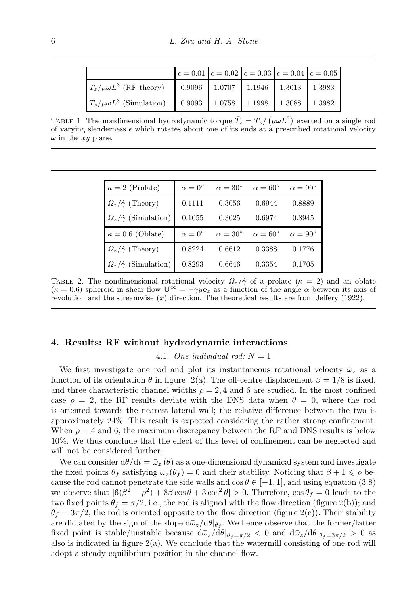|                                   |                                              |  | $\epsilon = 0.01$ $\epsilon = 0.02$ $\epsilon = 0.03$ $\epsilon = 0.04$ $\epsilon = 0.05$ |
|-----------------------------------|----------------------------------------------|--|-------------------------------------------------------------------------------------------|
| $T_z/\mu\omega L^3$ (RF theory)   | $0.9096$   1.0707   1.1946   1.3013   1.3983 |  |                                                                                           |
| $T_z/\mu \omega L^3$ (Simulation) |                                              |  | 1.3982                                                                                    |

TABLE 1. The nondimensional hydrodynamic torque  $\bar{T}_z = T_z / (\mu \omega L^3)$  exerted on a single rod of varying slenderness  $\epsilon$  which rotates about one of its ends at a prescribed rotational velocity  $\omega$  in the xy plane.

| $\kappa = 2$ (Prolate)               |                      | $\alpha = 0^{\circ}$ $\alpha = 30^{\circ}$ $\alpha = 60^{\circ}$ $\alpha = 90^{\circ}$ |                                                                   |        |
|--------------------------------------|----------------------|----------------------------------------------------------------------------------------|-------------------------------------------------------------------|--------|
| $\Omega_z/\dot{\gamma}$ (Theory)     | 0.1111               | 0.3056                                                                                 | 0.6944                                                            | 0.8889 |
| $\Omega_z/\dot{\gamma}$ (Simulation) | 0.1055               | 0.3025                                                                                 | 0.6974                                                            | 0.8945 |
| $\kappa = 0.6$ (Oblate)              | $\alpha = 0^{\circ}$ |                                                                                        | $\alpha = 30^{\circ}$ $\alpha = 60^{\circ}$ $\alpha = 90^{\circ}$ |        |
| $\Omega_z/\dot{\gamma}$ (Theory)     | 0.8224               | 0.6612                                                                                 | 0.3388                                                            | 0.1776 |
| $\Omega_z/\dot{\gamma}$ (Simulation) | 0.8293               | 0.6646                                                                                 | 0.3354                                                            | 0.1705 |

TABLE 2. The nondimensional rotational velocity  $\Omega_z/\dot{\gamma}$  of a prolate ( $\kappa = 2$ ) and an oblate  $(\kappa = 0.6)$  spheroid in shear flow  $\mathbf{U}^{\infty} = -\dot{\gamma}y\mathbf{e}_x$  as a function of the angle  $\alpha$  between its axis of revolution and the streamwise  $(x)$  direction. The theoretical results are from Jeffery (1922).

## 4. Results: RF without hydrodynamic interactions

4.1. *One individual rod:*  $N = 1$ 

We first investigate one rod and plot its instantaneous rotational velocity  $\bar{\omega}_z$  as a function of its orientation  $\theta$  in figure 2(a). The off-centre displacement  $\beta = 1/8$  is fixed, and three characteristic channel widths  $\rho = 2, 4$  and 6 are studied. In the most confined case  $\rho = 2$ , the RF results deviate with the DNS data when  $\theta = 0$ , where the rod is oriented towards the nearest lateral wall; the relative difference between the two is approximately 24%. This result is expected considering the rather strong confinement. When  $\rho = 4$  and 6, the maximum discrepancy between the RF and DNS results is below 10%. We thus conclude that the effect of this level of confinement can be neglected and will not be considered further.

We can consider  $d\theta/dt = \bar{\omega}_z(\theta)$  as a one-dimensional dynamical system and investigate the fixed points  $\theta_f$  satisfying  $\bar{\omega}_z(\theta_f) = 0$  and their stability. Noticing that  $\beta + 1 \leq \rho$  because the rod cannot penetrate the side walls and  $\cos \theta \in [-1, 1]$ , and using equation (3.8) we observe that  $[6(\beta^2 - \rho^2) + 8\beta \cos \theta + 3\cos^2 \theta] > 0$ . Therefore,  $\cos \theta_f = 0$  leads to the two fixed points  $\theta_f = \pi/2$ , i.e., the rod is aligned with the flow direction (figure 2(b)); and  $\theta_f = 3\pi/2$ , the rod is oriented opposite to the flow direction (figure 2(c)). Their stability are dictated by the sign of the slope  $d\bar{\omega}_z/d\theta|_{\theta_f}$ . We hence observe that the former/latter fixed point is stable/unstable because  $d\bar{\omega}_z/d\theta|_{\theta_f=\pi/2} < 0$  and  $d\bar{\omega}_z/d\theta|_{\theta_f=\pi/2} > 0$  as also is indicated in figure  $2(a)$ . We conclude that the watermill consisting of one rod will adopt a steady equilibrium position in the channel flow.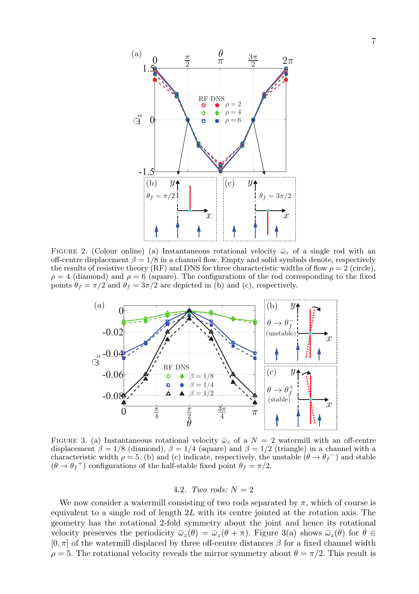

FIGURE 2. (Colour online) (a) Instantaneous rotational velocity  $\bar{\omega}_z$  of a single rod with an off-centre displacement  $\beta = 1/8$  in a channel flow. Empty and solid symbols denote, respectively the results of resistive theory (RF) and DNS for three characteristic widths of flow  $\rho = 2$  (circle),  $\rho = 4$  (diamond) and  $\rho = 6$  (square). The configurations of the rod corresponding to the fixed points  $\theta_f = \pi/2$  and  $\theta_f = 3\pi/2$  are depicted in (b) and (c), respectively.



FIGURE 3. (a) Instantaneous rotational velocity  $\bar{\omega}_z$  of a  $N = 2$  watermill with an off-centre displacement  $\beta = 1/8$  (diamond),  $\beta = 1/4$  (square) and  $\beta = 1/2$  (triangle) in a channel with a characteristic width  $\rho = 5$ . (b) and (c) indicate, respectively, the unstable  $(\theta \to \theta_f^-)$  and stable  $(\theta \to \theta_f^+)$  configurations of the half-stable fixed point  $\theta_f = \pi/2$ .

#### 4.2. *Two rods:* N = 2

We now consider a watermill consisting of two rods separated by  $\pi$ , which of course is equivalent to a single rod of length  $2L$  with its centre jointed at the rotation axis. The geometry has the rotational 2-fold symmetry about the joint and hence its rotational velocity preserves the periodicity  $\bar{\omega}_z(\theta) = \bar{\omega}_z(\theta + \pi)$ . Figure 3(a) shows  $\bar{\omega}_z(\theta)$  for  $\theta \in$  $[0, \pi]$  of the watermill displaced by three off-centre distances  $\beta$  for a fixed channel width  $\rho = 5$ . The rotational velocity reveals the mirror symmetry about  $\theta = \pi/2$ . This result is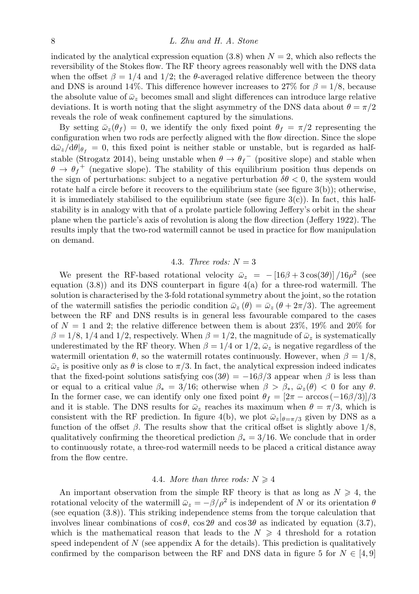indicated by the analytical expression equation (3.8) when  $N = 2$ , which also reflects the reversibility of the Stokes flow. The RF theory agrees reasonably well with the DNS data when the offset  $\beta = 1/4$  and 1/2; the  $\theta$ -averaged relative difference between the theory and DNS is around 14%. This difference however increases to 27% for  $\beta = 1/8$ , because the absolute value of  $\bar{\omega}_z$  becomes small and slight differences can introduce large relative deviations. It is worth noting that the slight asymmetry of the DNS data about  $\theta = \pi/2$ reveals the role of weak confinement captured by the simulations.

By setting  $\bar{\omega}_z(\theta_f) = 0$ , we identify the only fixed point  $\theta_f = \pi/2$  representing the configuration when two rods are perfectly aligned with the flow direction. Since the slope  $d\bar{\omega}_z/d\theta|_{\theta_f} = 0$ , this fixed point is neither stable or unstable, but is regarded as halfstable (Strogatz 2014), being unstable when  $\theta \to \theta_f^-$  (positive slope) and stable when  $\theta \to \theta_f^+$  (negative slope). The stability of this equilibrium position thus depends on the sign of perturbations: subject to a negative perturbation  $\delta\theta < 0$ , the system would rotate half a circle before it recovers to the equilibrium state (see figure  $3(b)$ ); otherwise, it is immediately stabilised to the equilibrium state (see figure  $3(c)$ ). In fact, this halfstability is in analogy with that of a prolate particle following Jeffery's orbit in the shear plane when the particle's axis of revolution is along the flow direction (Jeffery 1922). The results imply that the two-rod watermill cannot be used in practice for flow manipulation on demand.

### 4.3. *Three rods:* N = 3

We present the RF-based rotational velocity  $\bar{\omega}_z = -[16\beta + 3\cos(3\theta)]/16\rho^2$  (see equation  $(3.8)$ ) and its DNS counterpart in figure  $4(a)$  for a three-rod watermill. The solution is characterised by the 3-fold rotational symmetry about the joint, so the rotation of the watermill satisfies the periodic condition  $\bar{\omega}_z(\theta) = \bar{\omega}_z(\theta + 2\pi/3)$ . The agreement between the RF and DNS results is in general less favourable compared to the cases of  $N = 1$  and 2; the relative difference between them is about 23\%, 19\% and 20\% for  $\beta = 1/8$ , 1/4 and 1/2, respectively. When  $\beta = 1/2$ , the magnitude of  $\bar{\omega}_z$  is systematically underestimated by the RF theory. When  $\beta = 1/4$  or  $1/2$ ,  $\bar{\omega}_z$  is negative regardless of the watermill orientation  $\theta$ , so the watermill rotates continuously. However, when  $\beta = 1/8$ ,  $\bar{\omega}_z$  is positive only as  $\theta$  is close to  $\pi/3$ . In fact, the analytical expression indeed indicates that the fixed-point solutions satisfying  $\cos(3\theta) = -16\beta/3$  appear when  $\beta$  is less than or equal to a critical value  $\beta_* = 3/16$ ; otherwise when  $\beta > \beta_*, \bar{\omega}_z(\theta) < 0$  for any  $\theta$ . In the former case, we can identify only one fixed point  $\theta_f = [2\pi - \arccos(-16\beta/3)]/3$ and it is stable. The DNS results for  $\bar{\omega}_z$  reaches its maximum when  $\theta = \pi/3$ , which is consistent with the RF prediction. In figure 4(b), we plot  $\bar{\omega}_z|_{\theta=\pi/3}$  given by DNS as a function of the offset  $\beta$ . The results show that the critical offset is slightly above 1/8, qualitatively confirming the theoretical prediction  $\beta_* = 3/16$ . We conclude that in order to continuously rotate, a three-rod watermill needs to be placed a critical distance away from the flow centre.

### 4.4. *More than three rods:*  $N \geq 4$

An important observation from the simple RF theory is that as long as  $N \geq 4$ , the rotational velocity of the watermill  $\bar{\omega}_z = -\beta/\rho^2$  is independent of N or its orientation  $\theta$ (see equation (3.8)). This striking independence stems from the torque calculation that involves linear combinations of  $\cos \theta$ ,  $\cos 2\theta$  and  $\cos 3\theta$  as indicated by equation (3.7), which is the mathematical reason that leads to the  $N \geq 4$  threshold for a rotation speed independent of  $N$  (see appendix A for the details). This prediction is qualitatively confirmed by the comparison between the RF and DNS data in figure 5 for  $N \in [4, 9]$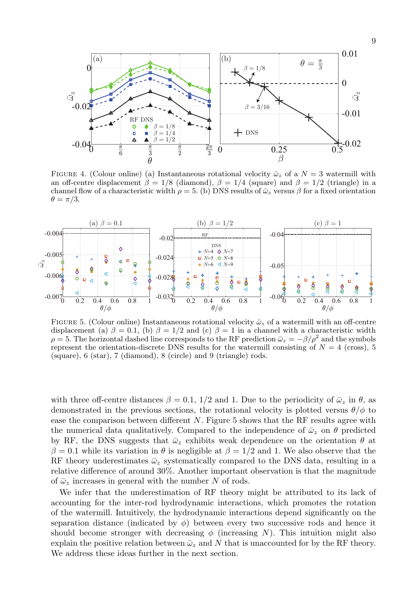

FIGURE 4. (Colour online) (a) Instantaneous rotational velocity  $\bar{\omega}_z$  of a  $N=3$  watermill with an off-centre displacement  $\beta = 1/8$  (diamond),  $\beta = 1/4$  (square) and  $\beta = 1/2$  (triangle) in a channel flow of a characteristic width  $\rho = 5$ . (b) DNS results of  $\bar{\omega}_z$  versus  $\beta$  for a fixed orientation  $\theta = \pi/3$ .



FIGURE 5. (Colour online) Instantaneous rotational velocity  $\bar{\omega}_z$  of a watermill with an off-centre displacement (a)  $\beta = 0.1$ , (b)  $\beta = 1/2$  and (c)  $\beta = 1$  in a channel with a characteristic width  $\rho = 5$ . The horizontal dashed line corresponds to the RF prediction  $\bar{\omega}_z = -\beta/\rho^2$  and the symbols represent the orientation-discrete DNS results for the watermill consisting of  $N = 4$  (cross), 5 (square), 6 (star), 7 (diamond), 8 (circle) and 9 (triangle) rods.

with three off-centre distances  $\beta = 0.1, 1/2$  and 1. Due to the periodicity of  $\bar{\omega}_z$  in  $\theta$ , as demonstrated in the previous sections, the rotational velocity is plotted versus  $\theta/\phi$  to ease the comparison between different  $N$ . Figure 5 shows that the RF results agree with the numerical data qualitatively. Compared to the independence of  $\bar{\omega}_z$  on  $\theta$  predicted by RF, the DNS suggests that  $\bar{\omega}_z$  exhibits weak dependence on the orientation  $\theta$  at  $\beta = 0.1$  while its variation in  $\theta$  is negligible at  $\beta = 1/2$  and 1. We also observe that the RF theory underestimates  $\bar{\omega}_z$  systematically compared to the DNS data, resulting in a relative difference of around 30%. Another important observation is that the magnitude of  $\bar{\omega}_z$  increases in general with the number N of rods.

We infer that the underestimation of RF theory might be attributed to its lack of accounting for the inter-rod hydrodynamic interactions, which promotes the rotation of the watermill. Intuitively, the hydrodynamic interactions depend significantly on the separation distance (indicated by  $\phi$ ) between every two successive rods and hence it should become stronger with decreasing  $\phi$  (increasing N). This intuition might also explain the positive relation between  $\bar{\omega}_z$  and N that is unaccounted for by the RF theory. We address these ideas further in the next section.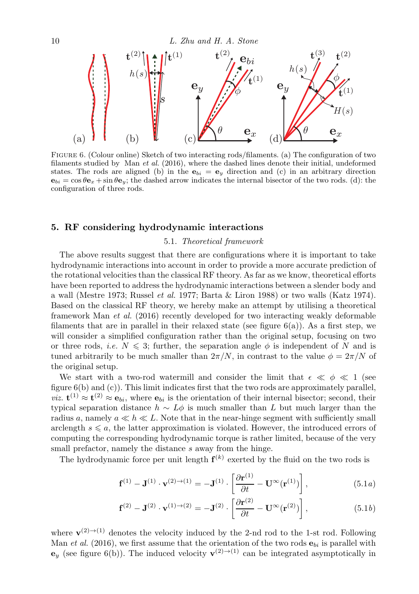

Figure 6. (Colour online) Sketch of two interacting rods/filaments. (a) The configuration of two filaments studied by Man *et al.* (2016), where the dashed lines denote their initial, undeformed states. The rods are aligned (b) in the  $e_{bi} = e_y$  direction and (c) in an arbitrary direction  $\mathbf{e}_{bi} = \cos \theta \mathbf{e}_x + \sin \theta \mathbf{e}_y$ ; the dashed arrow indicates the internal bisector of the two rods. (d): the configuration of three rods.

# 5. RF considering hydrodynamic interactions

#### 5.1. *Theoretical framework*

The above results suggest that there are configurations where it is important to take hydrodynamic interactions into account in order to provide a more accurate prediction of the rotational velocities than the classical RF theory. As far as we know, theoretical efforts have been reported to address the hydrodynamic interactions between a slender body and a wall (Mestre 1973; Russel *et al.* 1977; Barta & Liron 1988) or two walls (Katz 1974). Based on the classical RF theory, we hereby make an attempt by utilising a theoretical framework Man *et al.* (2016) recently developed for two interacting weakly deformable filaments that are in parallel in their relaxed state (see figure  $6(a)$ ). As a first step, we will consider a simplified configuration rather than the original setup, focusing on two or three rods, *i.e.*  $N \leq 3$ ; further, the separation angle  $\phi$  is independent of N and is tuned arbitrarily to be much smaller than  $2\pi/N$ , in contrast to the value  $\phi = 2\pi/N$  of the original setup.

We start with a two-rod watermill and consider the limit that  $\epsilon \ll \phi \ll 1$  (see figure  $6(b)$  and  $(c)$ ). This limit indicates first that the two rods are approximately parallel, *viz.*  $\mathbf{t}^{(1)} \approx \mathbf{t}^{(2)} \approx \mathbf{e}_{bi}$ , where  $\mathbf{e}_{bi}$  is the orientation of their internal bisector; second, their typical separation distance  $h \sim L\phi$  is much smaller than L but much larger than the radius a, namely  $a \ll h \ll L$ . Note that in the near-hinge segment with sufficiently small arclength  $s \leq a$ , the latter approximation is violated. However, the introduced errors of computing the corresponding hydrodynamic torque is rather limited, because of the very small prefactor, namely the distance s away from the hinge.

The hydrodynamic force per unit length  $f^{(k)}$  exerted by the fluid on the two rods is

$$
\mathbf{f}^{(1)} - \mathbf{J}^{(1)} \cdot \mathbf{v}^{(2) \to (1)} = -\mathbf{J}^{(1)} \cdot \left[ \frac{\partial \mathbf{r}^{(1)}}{\partial t} - \mathbf{U}^{\infty} (\mathbf{r}^{(1)}) \right], \tag{5.1a}
$$

$$
\mathbf{f}^{(2)} - \mathbf{J}^{(2)} \cdot \mathbf{v}^{(1) \to (2)} = -\mathbf{J}^{(2)} \cdot \left[ \frac{\partial \mathbf{r}^{(2)}}{\partial t} - \mathbf{U}^{\infty} (\mathbf{r}^{(2)}) \right],
$$
 (5.1*b*)

where  $\mathbf{v}^{(2) \to (1)}$  denotes the velocity induced by the 2-nd rod to the 1-st rod. Following Man *et al.* (2016), we first assume that the orientation of the two rods  $e_{bi}$  is parallel with  $\mathbf{e}_y$  (see figure 6(b)). The induced velocity  $\mathbf{v}^{(2)\to(1)}$  can be integrated asymptotically in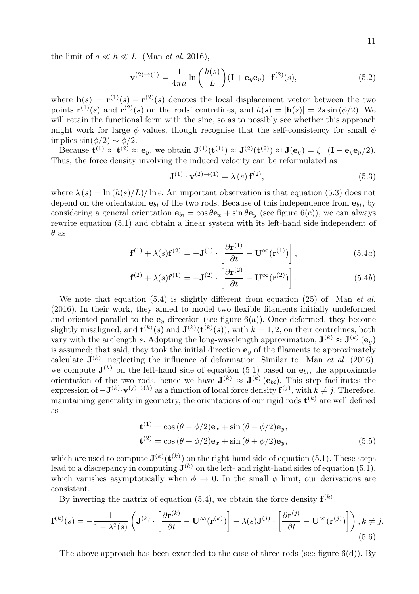the limit of  $a \ll h \ll L$  (Man *et al.* 2016),

$$
\mathbf{v}^{(2)\to(1)} = \frac{1}{4\pi\mu} \ln\left(\frac{h(s)}{L}\right) (\mathbf{I} + \mathbf{e}_y \mathbf{e}_y) \cdot \mathbf{f}^{(2)}(s),\tag{5.2}
$$

where  $h(s) = r^{(1)}(s) - r^{(2)}(s)$  denotes the local displacement vector between the two points  $\mathbf{r}^{(1)}(s)$  and  $\mathbf{r}^{(2)}(s)$  on the rods' centrelines, and  $h(s) = |\mathbf{h}(s)| = 2s \sin(\phi/2)$ . We will retain the functional form with the sine, so as to possibly see whether this approach might work for large  $\phi$  values, though recognise that the self-consistency for small  $\phi$ implies  $\sin(\phi/2) \sim \phi/2$ .

Because  $\mathbf{t}^{(1)} \approx \mathbf{t}^{(2)} \approx \mathbf{e}_y$ , we obtain  $\mathbf{J}^{(1)}(\mathbf{t}^{(1)}) \approx \mathbf{J}^{(2)}(\mathbf{t}^{(2)}) \approx \mathbf{J}(\mathbf{e}_y) = \xi_{\perp} (\mathbf{I} - \mathbf{e}_y \mathbf{e}_y/2)$ . Thus, the force density involving the induced velocity can be reformulated as

$$
-\mathbf{J}^{(1)} \cdot \mathbf{v}^{(2)\to(1)} = \lambda \left( s \right) \mathbf{f}^{(2)},\tag{5.3}
$$

where  $\lambda(s) = \ln(h(s)/L)/\ln \epsilon$ . An important observation is that equation (5.3) does not depend on the orientation  $e_{bi}$  of the two rods. Because of this independence from  $e_{bi}$ , by considering a general orientation  $\mathbf{e}_{bi} = \cos \theta \mathbf{e}_x + \sin \theta \mathbf{e}_y$  (see figure 6(c)), we can always rewrite equation (5.1) and obtain a linear system with its left-hand side independent of  $\theta$  as

$$
\mathbf{f}^{(1)} + \lambda(s)\mathbf{f}^{(2)} = -\mathbf{J}^{(1)} \cdot \left[ \frac{\partial \mathbf{r}^{(1)}}{\partial t} - \mathbf{U}^{\infty}(\mathbf{r}^{(1)}) \right],
$$
 (5.4*a*)

$$
\mathbf{f}^{(2)} + \lambda(s)\mathbf{f}^{(1)} = -\mathbf{J}^{(2)} \cdot \left[ \frac{\partial \mathbf{r}^{(2)}}{\partial t} - \mathbf{U}^{\infty}(\mathbf{r}^{(2)}) \right]. \tag{5.4b}
$$

We note that equation (5.4) is slightly different from equation (25) of Man *et al.* (2016). In their work, they aimed to model two flexible filaments initially undeformed and oriented parallel to the  $e_y$  direction (see figure 6(a)). Once deformed, they become slightly misaligned, and  $\mathbf{t}^{(k)}(s)$  and  $\mathbf{J}^{(k)}(\mathbf{t}^{(k)}(s))$ , with  $k = 1, 2$ , on their centrelines, both vary with the arclength s. Adopting the long-wavelength approximation,  $\mathbf{J}^{(k)} \approx \mathbf{J}^{(k)} (\mathbf{e}_y)$ is assumed; that said, they took the initial direction  $e_y$  of the filaments to approximately calculate  $J^{(k)}$ , neglecting the influence of deformation. Similar to Man *et al.* (2016), we compute  $J^{(k)}$  on the left-hand side of equation (5.1) based on  $e_{bi}$ , the approximate orientation of the two rods, hence we have  $\mathbf{J}^{(k)} \approx \mathbf{J}^{(k)} (\mathbf{e}_{bi})$ . This step facilitates the expression of  $-\mathbf{J}^{(k)}\cdot\mathbf{v}^{(j)\to(k)}$  as a function of local force density  $\mathbf{f}^{(j)}$ , with  $k \neq j$ . Therefore, maintaining generality in geometry, the orientations of our rigid rods  $\mathbf{t}^{(k)}$  are well defined as

$$
\mathbf{t}^{(1)} = \cos(\theta - \phi/2)\mathbf{e}_x + \sin(\theta - \phi/2)\mathbf{e}_y,
$$
  

$$
\mathbf{t}^{(2)} = \cos(\theta + \phi/2)\mathbf{e}_x + \sin(\theta + \phi/2)\mathbf{e}_y,
$$
 (5.5)

which are used to compute  $J^{(k)}(t^{(k)})$  on the right-hand side of equation (5.1). These steps lead to a discrepancy in computing  $J^{(k)}$  on the left- and right-hand sides of equation (5.1), which vanishes asymptotically when  $\phi \to 0$ . In the small  $\phi$  limit, our derivations are consistent.

By inverting the matrix of equation (5.4), we obtain the force density  $f^{(k)}$ 

$$
\mathbf{f}^{(k)}(s) = -\frac{1}{1 - \lambda^2(s)} \left( \mathbf{J}^{(k)} \cdot \left[ \frac{\partial \mathbf{r}^{(k)}}{\partial t} - \mathbf{U}^{\infty}(\mathbf{r}^{(k)}) \right] - \lambda(s) \mathbf{J}^{(j)} \cdot \left[ \frac{\partial \mathbf{r}^{(j)}}{\partial t} - \mathbf{U}^{\infty}(\mathbf{r}^{(j)}) \right] \right), k \neq j.
$$
\n(5.6)

The above approach has been extended to the case of three rods (see figure  $6(d)$ ). By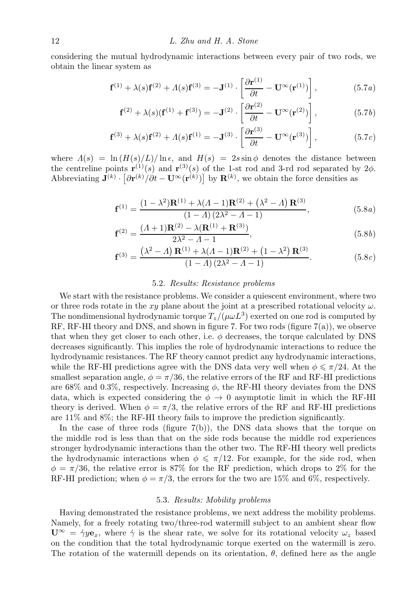considering the mutual hydrodynamic interactions between every pair of two rods, we obtain the linear system as

$$
\mathbf{f}^{(1)} + \lambda(s)\mathbf{f}^{(2)} + \Lambda(s)\mathbf{f}^{(3)} = -\mathbf{J}^{(1)} \cdot \left[\frac{\partial \mathbf{r}^{(1)}}{\partial t} - \mathbf{U}^{\infty}(\mathbf{r}^{(1)})\right],\tag{5.7a}
$$

$$
\mathbf{f}^{(2)} + \lambda(s)(\mathbf{f}^{(1)} + \mathbf{f}^{(3)}) = -\mathbf{J}^{(2)} \cdot \left[ \frac{\partial \mathbf{r}^{(2)}}{\partial t} - \mathbf{U}^{\infty}(\mathbf{r}^{(2)}) \right],
$$
 (5.7*b*)

$$
\mathbf{f}^{(3)} + \lambda(s)\mathbf{f}^{(2)} + \Lambda(s)\mathbf{f}^{(1)} = -\mathbf{J}^{(3)} \cdot \left[\frac{\partial \mathbf{r}^{(3)}}{\partial t} - \mathbf{U}^{\infty}(\mathbf{r}^{(3)})\right],
$$
 (5.7*c*)

where  $\Lambda(s) = \ln(H(s)/L)/\ln \epsilon$ , and  $H(s) = 2s \sin \phi$  denotes the distance between the centreline points  $\mathbf{r}^{(1)}(s)$  and  $\mathbf{r}^{(3)}(s)$  of the 1-st rod and 3-rd rod separated by 2 $\phi$ . Abbreviating  $\mathbf{J}^{(k)} \cdot [\partial \mathbf{r}^{(k)}/\partial t - \mathbf{U}^{\infty}(\mathbf{r}^{(k)})]$  by  $\mathbf{R}^{(k)}$ , we obtain the force densities as

$$
\mathbf{f}^{(1)} = \frac{(1 - \lambda^2)\mathbf{R}^{(1)} + \lambda(A - 1)\mathbf{R}^{(2)} + (\lambda^2 - A)\mathbf{R}^{(3)}}{(1 - A)(2\lambda^2 - A - 1)},
$$
(5.8*a*)

$$
\mathbf{f}^{(2)} = \frac{(A+1)\mathbf{R}^{(2)} - \lambda(\mathbf{R}^{(1)} + \mathbf{R}^{(3)})}{2\lambda^2 - A - 1},
$$
\n(5.8*b*)

$$
\mathbf{f}^{(3)} = \frac{(\lambda^2 - A)\,\mathbf{R}^{(1)} + \lambda(A - 1)\mathbf{R}^{(2)} + (1 - \lambda^2)\,\mathbf{R}^{(3)}}{(1 - A)\,(2\lambda^2 - A - 1)}.\tag{5.8c}
$$

#### 5.2. *Results: Resistance problems*

We start with the resistance problems. We consider a quiescent environment, where two or three rods rotate in the xy plane about the joint at a prescribed rotational velocity  $\omega$ . The nondimensional hydrodynamic torque  $T_z/(\mu\omega L^3)$  exerted on one rod is computed by RF, RF-HI theory and DNS, and shown in figure 7. For two rods (figure 7(a)), we observe that when they get closer to each other, i.e.  $\phi$  decreases, the torque calculated by DNS decreases significantly. This implies the role of hydrodynamic interactions to reduce the hydrodynamic resistances. The RF theory cannot predict any hydrodynamic interactions, while the RF-HI predictions agree with the DNS data very well when  $\phi \leq \pi/24$ . At the smallest separation angle,  $\phi = \pi/36$ , the relative errors of the RF and RF-HI predictions are 68% and 0.3%, respectively. Increasing  $\phi$ , the RF-HI theory deviates from the DNS data, which is expected considering the  $\phi \rightarrow 0$  asymptotic limit in which the RF-HI theory is derived. When  $\phi = \pi/3$ , the relative errors of the RF and RF-HI predictions are 11% and 8%; the RF-HI theory fails to improve the prediction significantly.

In the case of three rods (figure  $7(b)$ ), the DNS data shows that the torque on the middle rod is less than that on the side rods because the middle rod experiences stronger hydrodynamic interactions than the other two. The RF-HI theory well predicts the hydrodynamic interactions when  $\phi \leq \pi/12$ . For example, for the side rod, when  $\phi = \pi/36$ , the relative error is 87% for the RF prediction, which drops to 2% for the RF-HI prediction; when  $\phi = \pi/3$ , the errors for the two are 15% and 6%, respectively.

#### 5.3. *Results: Mobility problems*

Having demonstrated the resistance problems, we next address the mobility problems. Namely, for a freely rotating two/three-rod watermill subject to an ambient shear flow  $\mathbf{U}^{\infty} = \dot{\gamma} y \mathbf{e}_x$ , where  $\dot{\gamma}$  is the shear rate, we solve for its rotational velocity  $\omega_z$  based on the condition that the total hydrodynamic torque exerted on the watermill is zero. The rotation of the watermill depends on its orientation,  $\theta$ , defined here as the angle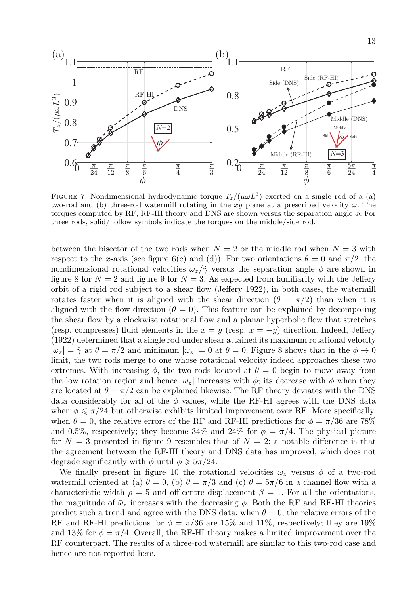

FIGURE 7. Nondimensional hydrodynamic torque  $T_z/(\mu \omega L^3)$  exerted on a single rod of a (a) two-rod and (b) three-rod watermill rotating in the xy plane at a prescribed velocity  $\omega$ . The torques computed by RF, RF-HI theory and DNS are shown versus the separation angle  $\phi$ . For three rods, solid/hollow symbols indicate the torques on the middle/side rod.

between the bisector of the two rods when  $N = 2$  or the middle rod when  $N = 3$  with respect to the x-axis (see figure 6(c) and (d)). For two orientations  $\theta = 0$  and  $\pi/2$ , the nondimensional rotational velocities  $\omega_z/\dot{\gamma}$  versus the separation angle  $\phi$  are shown in figure 8 for  $N = 2$  and figure 9 for  $N = 3$ . As expected from familiarity with the Jeffery orbit of a rigid rod subject to a shear flow (Jeffery 1922), in both cases, the watermill rotates faster when it is aligned with the shear direction  $(\theta = \pi/2)$  than when it is aligned with the flow direction ( $\theta = 0$ ). This feature can be explained by decomposing the shear flow by a clockwise rotational flow and a planar hyperbolic flow that stretches (resp. compresses) fluid elements in the  $x = y$  (resp.  $x = -y$ ) direction. Indeed, Jeffery (1922) determined that a single rod under shear attained its maximum rotational velocity  $|\omega_z| = \dot{\gamma}$  at  $\theta = \pi/2$  and minimum  $|\omega_z| = 0$  at  $\theta = 0$ . Figure 8 shows that in the  $\phi \to 0$ limit, the two rods merge to one whose rotational velocity indeed approaches these two extremes. With increasing  $\phi$ , the two rods located at  $\theta = 0$  begin to move away from the low rotation region and hence  $|\omega_z|$  increases with  $\phi$ ; its decrease with  $\phi$  when they are located at  $\theta = \pi/2$  can be explained likewise. The RF theory deviates with the DNS data considerably for all of the  $\phi$  values, while the RF-HI agrees with the DNS data when  $\phi \leq \pi/24$  but otherwise exhibits limited improvement over RF. More specifically, when  $\theta = 0$ , the relative errors of the RF and RF-HI predictions for  $\phi = \pi/36$  are 78% and 0.5%, respectively; they become 34% and 24% for  $\phi = \pi/4$ . The physical picture for  $N = 3$  presented in figure 9 resembles that of  $N = 2$ ; a notable difference is that the agreement between the RF-HI theory and DNS data has improved, which does not degrade significantly with  $\phi$  until  $\phi \geqslant 5\pi/24$ .

We finally present in figure 10 the rotational velocities  $\bar{\omega}_z$  versus  $\phi$  of a two-rod watermill oriented at (a)  $\theta = 0$ , (b)  $\theta = \pi/3$  and (c)  $\theta = 5\pi/6$  in a channel flow with a characteristic width  $\rho = 5$  and off-centre displacement  $\beta = 1$ . For all the orientations, the magnitude of  $\bar{\omega}_z$  increases with the decreasing  $\phi$ . Both the RF and RF-HI theories predict such a trend and agree with the DNS data: when  $\theta = 0$ , the relative errors of the RF and RF-HI predictions for  $\phi = \pi/36$  are 15% and 11%, respectively; they are 19% and 13% for  $\phi = \pi/4$ . Overall, the RF-HI theory makes a limited improvement over the RF counterpart. The results of a three-rod watermill are similar to this two-rod case and hence are not reported here.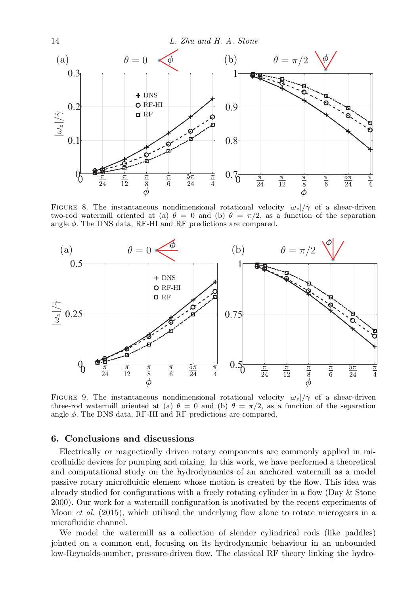14 *L. Zhu and H. A. Stone*



FIGURE 8. The instantaneous nondimensional rotational velocity  $|\omega_z|/\dot{\gamma}$  of a shear-driven two-rod watermill oriented at (a)  $\theta = 0$  and (b)  $\theta = \pi/2$ , as a function of the separation angle  $\phi$ . The DNS data, RF-HI and RF predictions are compared.



FIGURE 9. The instantaneous nondimensional rotational velocity  $|\omega_z|/\dot{\gamma}$  of a shear-driven three-rod watermill oriented at (a)  $\theta = 0$  and (b)  $\theta = \pi/2$ , as a function of the separation angle  $\phi$ . The DNS data, RF-HI and RF predictions are compared.

# 6. Conclusions and discussions

Electrically or magnetically driven rotary components are commonly applied in microfluidic devices for pumping and mixing. In this work, we have performed a theoretical and computational study on the hydrodynamics of an anchored watermill as a model passive rotary microfluidic element whose motion is created by the flow. This idea was already studied for configurations with a freely rotating cylinder in a flow (Day & Stone 2000). Our work for a watermill configuration is motivated by the recent experiments of Moon *et al.* (2015), which utilised the underlying flow alone to rotate microgears in a microfluidic channel.

We model the watermill as a collection of slender cylindrical rods (like paddles) jointed on a common end, focusing on its hydrodynamic behaviour in an unbounded low-Reynolds-number, pressure-driven flow. The classical RF theory linking the hydro-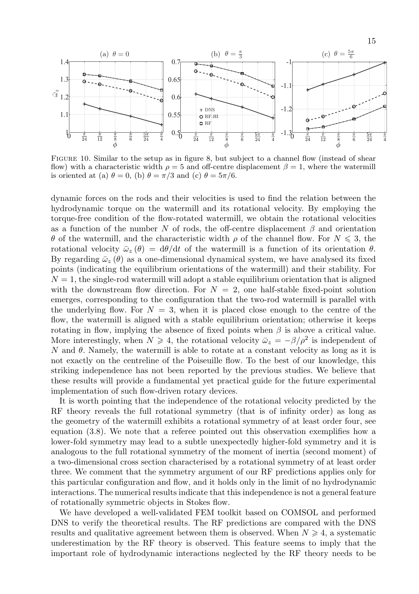

FIGURE 10. Similar to the setup as in figure 8, but subject to a channel flow (instead of shear flow) with a characteristic width  $\rho = 5$  and off-centre displacement  $\beta = 1$ , where the watermill is oriented at (a)  $\theta = 0$ , (b)  $\theta = \pi/3$  and (c)  $\theta = 5\pi/6$ .

dynamic forces on the rods and their velocities is used to find the relation between the hydrodynamic torque on the watermill and its rotational velocity. By employing the torque-free condition of the flow-rotated watermill, we obtain the rotational velocities as a function of the number N of rods, the off-centre displacement  $\beta$  and orientation θ of the watermill, and the characteristic width  $ρ$  of the channel flow. For  $N \leq 3$ , the rotational velocity  $\bar{\omega}_z(\theta) = d\theta/dt$  of the watermill is a function of its orientation  $\theta$ . By regarding  $\bar{\omega}_z(\theta)$  as a one-dimensional dynamical system, we have analysed its fixed points (indicating the equilibrium orientations of the watermill) and their stability. For  $N = 1$ , the single-rod watermill will adopt a stable equilibrium orientation that is aligned with the downstream flow direction. For  $N = 2$ , one half-stable fixed-point solution emerges, corresponding to the configuration that the two-rod watermill is parallel with the underlying flow. For  $N = 3$ , when it is placed close enough to the centre of the flow, the watermill is aligned with a stable equilibrium orientation; otherwise it keeps rotating in flow, implying the absence of fixed points when  $\beta$  is above a critical value. More interestingly, when  $N \geq 4$ , the rotational velocity  $\bar{\omega}_z = -\beta/\rho^2$  is independent of N and  $\theta$ . Namely, the watermill is able to rotate at a constant velocity as long as it is not exactly on the centreline of the Poiseuille flow. To the best of our knowledge, this striking independence has not been reported by the previous studies. We believe that these results will provide a fundamental yet practical guide for the future experimental implementation of such flow-driven rotary devices.

It is worth pointing that the independence of the rotational velocity predicted by the RF theory reveals the full rotational symmetry (that is of infinity order) as long as the geometry of the watermill exhibits a rotational symmetry of at least order four, see equation (3.8). We note that a referee pointed out this observation exemplifies how a lower-fold symmetry may lead to a subtle unexpectedly higher-fold symmetry and it is analogous to the full rotational symmetry of the moment of inertia (second moment) of a two-dimensional cross section characterised by a rotational symmetry of at least order three. We comment that the symmetry argument of our RF predictions applies only for this particular configuration and flow, and it holds only in the limit of no hydrodynamic interactions. The numerical results indicate that this independence is not a general feature of rotationally symmetric objects in Stokes flow.

We have developed a well-validated FEM toolkit based on COMSOL and performed DNS to verify the theoretical results. The RF predictions are compared with the DNS results and qualitative agreement between them is observed. When  $N \geq 4$ , a systematic underestimation by the RF theory is observed. This feature seems to imply that the important role of hydrodynamic interactions neglected by the RF theory needs to be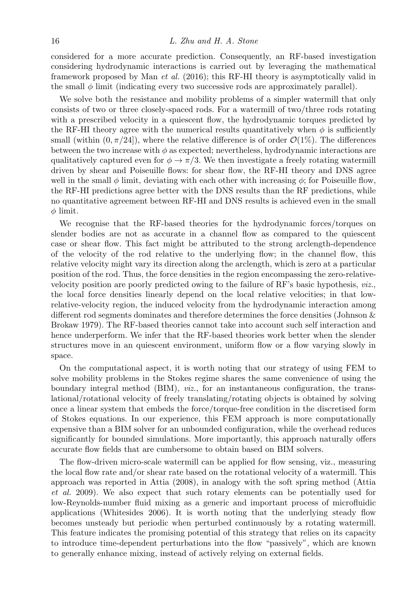considered for a more accurate prediction. Consequently, an RF-based investigation considering hydrodynamic interactions is carried out by leveraging the mathematical framework proposed by Man *et al.* (2016); this RF-HI theory is asymptotically valid in the small  $\phi$  limit (indicating every two successive rods are approximately parallel).

We solve both the resistance and mobility problems of a simpler watermill that only consists of two or three closely-spaced rods. For a watermill of two/three rods rotating with a prescribed velocity in a quiescent flow, the hydrodynamic torques predicted by the RF-HI theory agree with the numerical results quantitatively when  $\phi$  is sufficiently small (within  $(0, \pi/24)$ ), where the relative difference is of order  $\mathcal{O}(1\%)$ . The differences between the two increase with  $\phi$  as expected; nevertheless, hydrodynamic interactions are qualitatively captured even for  $\phi \rightarrow \pi/3$ . We then investigate a freely rotating watermill driven by shear and Poiseuille flows: for shear flow, the RF-HI theory and DNS agree well in the small  $\phi$  limit, deviating with each other with increasing  $\phi$ ; for Poiseuille flow, the RF-HI predictions agree better with the DNS results than the RF predictions, while no quantitative agreement between RF-HI and DNS results is achieved even in the small  $\phi$  limit.

We recognise that the RF-based theories for the hydrodynamic forces/torques on slender bodies are not as accurate in a channel flow as compared to the quiescent case or shear flow. This fact might be attributed to the strong arclength-dependence of the velocity of the rod relative to the underlying flow; in the channel flow, this relative velocity might vary its direction along the arclength, which is zero at a particular position of the rod. Thus, the force densities in the region encompassing the zero-relativevelocity position are poorly predicted owing to the failure of RF's basic hypothesis, *viz.*, the local force densities linearly depend on the local relative velocities; in that lowrelative-velocity region, the induced velocity from the hydrodynamic interaction among different rod segments dominates and therefore determines the force densities (Johnson & Brokaw 1979). The RF-based theories cannot take into account such self interaction and hence underperform. We infer that the RF-based theories work better when the slender structures move in an quiescent environment, uniform flow or a flow varying slowly in space.

On the computational aspect, it is worth noting that our strategy of using FEM to solve mobility problems in the Stokes regime shares the same convenience of using the boundary integral method (BIM), *viz.*, for an instantaneous configuration, the translational/rotational velocity of freely translating/rotating objects is obtained by solving once a linear system that embeds the force/torque-free condition in the discretised form of Stokes equations. In our experience, this FEM approach is more computationally expensive than a BIM solver for an unbounded configuration, while the overhead reduces significantly for bounded simulations. More importantly, this approach naturally offers accurate flow fields that are cumbersome to obtain based on BIM solvers.

The flow-driven micro-scale watermill can be applied for flow sensing, viz., measuring the local flow rate and/or shear rate based on the rotational velocity of a watermill. This approach was reported in Attia (2008), in analogy with the soft spring method (Attia *et al.* 2009). We also expect that such rotary elements can be potentially used for low-Reynolds-number fluid mixing as a generic and important process of microfluidic applications (Whitesides 2006). It is worth noting that the underlying steady flow becomes unsteady but periodic when perturbed continuously by a rotating watermill. This feature indicates the promising potential of this strategy that relies on its capacity to introduce time-dependent perturbations into the flow "passively", which are known to generally enhance mixing, instead of actively relying on external fields.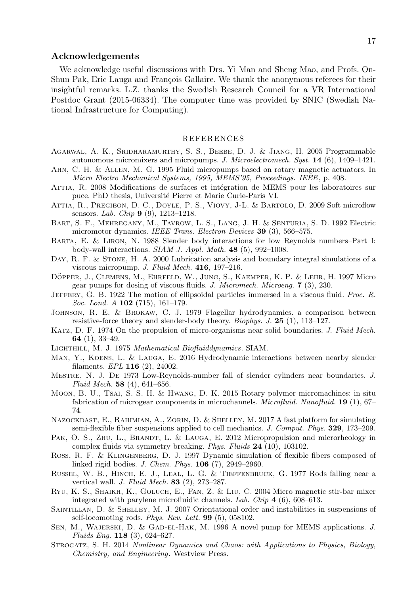## Acknowledgements

We acknowledge useful discussions with Drs. Yi Man and Sheng Mao, and Profs. On-Shun Pak, Eric Lauga and François Gallaire. We thank the anonymous referees for their insightful remarks. L.Z. thanks the Swedish Research Council for a VR International Postdoc Grant (2015-06334). The computer time was provided by SNIC (Swedish National Infrastructure for Computing).

#### REFERENCES

- Agarwal, A. K., Sridharamurthy, S. S., Beebe, D. J. & Jiang, H. 2005 Programmable autonomous micromixers and micropumps. *J. Microelectromech. Syst.* 14 (6), 1409–1421.
- Ahn, C. H. & Allen, M. G. 1995 Fluid micropumps based on rotary magnetic actuators. In *Micro Electro Mechanical Systems, 1995, MEMS'95, Proceedings. IEEE*, p. 408.
- ATTIA, R. 2008 Modifications de surfaces et intégration de MEMS pour les laboratoires sur puce. PhD thesis, Universit´e Pierre et Marie Curie-Paris VI.
- Attia, R., Pregibon, D. C., Doyle, P. S., Viovy, J-L. & Bartolo, D. 2009 Soft microflow sensors. *Lab. Chip* 9 (9), 1213–1218.
- Bart, S. F., Mehregany, M., Tavrow, L. S., Lang, J. H. & Senturia, S. D. 1992 Electric micromotor dynamics. *IEEE Trans. Electron Devices* 39 (3), 566–575.
- Barta, E. & Liron, N. 1988 Slender body interactions for low Reynolds numbers–Part I: body-wall interactions. *SIAM J. Appl. Math.* 48 (5), 992–1008.
- DAY, R. F. & STONE, H. A. 2000 Lubrication analysis and boundary integral simulations of a viscous micropump. *J. Fluid Mech.* 416, 197–216.
- DÖPPER, J., CLEMENS, M., EHRFELD, W., JUNG, S., KAEMPER, K. P. & LEHR, H. 1997 Micro gear pumps for dosing of viscous fluids. *J. Micromech. Microeng.* 7 (3), 230.
- Jeffery, G. B. 1922 The motion of ellipsoidal particles immersed in a viscous fluid. *Proc. R. Soc. Lond. A* 102 (715), 161–179.
- Johnson, R. E. & Brokaw, C. J. 1979 Flagellar hydrodynamics. a comparison between resistive-force theory and slender-body theory. *Biophys. J.* 25 (1), 113–127.
- Katz, D. F. 1974 On the propulsion of micro-organisms near solid boundaries. *J. Fluid Mech.* 64 (1), 33–49.
- Lighthill, M. J. 1975 *Mathematical Biofluiddynamics*. SIAM.
- Man, Y., Koens, L. & Lauga, E. 2016 Hydrodynamic interactions between nearby slender filaments. *EPL* 116 (2), 24002.
- Mestre, N. J. De 1973 Low-Reynolds-number fall of slender cylinders near boundaries. *J. Fluid Mech.* 58 (4), 641–656.
- Moon, B. U., Tsai, S. S. H. & Hwang, D. K. 2015 Rotary polymer micromachines: in situ fabrication of microgear components in microchannels. *Microfluid. Nanofluid.* 19 (1), 67– 74.
- NAZOCKDAST, E., RAHIMIAN, A., ZORIN, D. & SHELLEY, M. 2017 A fast platform for simulating semi-flexible fiber suspensions applied to cell mechanics. *J. Comput. Phys.* 329, 173–209.
- PAK, O. S., ZHU, L., BRANDT, L. & LAUGA, E. 2012 Micropropulsion and microrheology in complex fluids via symmetry breaking. *Phys. Fluids* 24 (10), 103102.
- ROSS, R. F. & KLINGENBERG, D. J. 1997 Dynamic simulation of flexible fibers composed of linked rigid bodies. *J. Chem. Phys.* 106 (7), 2949–2960.
- Russel, W. B., Hinch, E. J., Leal, L. G. & Tieffenbruck, G. 1977 Rods falling near a vertical wall. *J. Fluid Mech.* 83 (2), 273–287.
- Ryu, K. S., Shaikh, K., Goluch, E., Fan, Z. & Liu, C. 2004 Micro magnetic stir-bar mixer integrated with parylene microfluidic channels. *Lab. Chip* 4 (6), 608–613.
- SAINTILLAN, D. & SHELLEY, M. J. 2007 Orientational order and instabilities in suspensions of self-locomoting rods. *Phys. Rev. Lett.* 99 (5), 058102.
- Sen, M., Wajerski, D. & Gad-el-Hak, M. 1996 A novel pump for MEMS applications. *J. Fluids Eng.* 118 (3), 624–627.
- Strogatz, S. H. 2014 *Nonlinear Dynamics and Chaos: with Applications to Physics, Biology, Chemistry, and Engineering*. Westview Press.